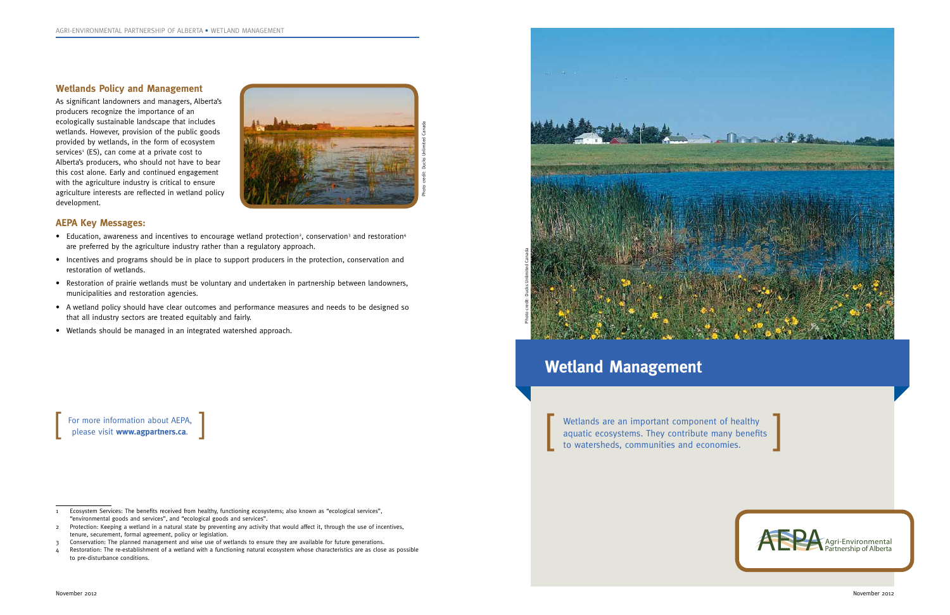

#### **Wetlands Policy and Management**

As significant landowners and managers, Alberta's producers recognize the importance of an ecologically sustainable landscape that includes wetlands. However, provision of the public goods provided by wetlands, in the form of ecosystem services<sup>1</sup> (ES), can come at a private cost to Alberta's producers, who should not have to bear this cost alone. Early and continued engagement with the agriculture industry is critical to ensure agriculture interests are reflected in wetland policy development.

## **AEPA Key Messages:**

- Education, awareness and incentives to encourage wetland protection<sup>2</sup>, conservation<sup>3</sup> and restoration<sup>4</sup> are preferred by the agriculture industry rather than a regulatory approach.
- Incentives and programs should be in place to support producers in the protection, conservation and restoration of wetlands.
- Restoration of prairie wetlands must be voluntary and undertaken in partnership between landowners, municipalities and restoration agencies.
- A wetland policy should have clear outcomes and performance measures and needs to be designed so that all industry sectors are treated equitably and fairly.
- Wetlands should be managed in an integrated watershed approach.

Wetlands are an important component of healthy aquatic ecosystems. They contribute many benefits to watersheds, communities and economies.



For more information about AEPA, please visit **www.agpartners.ca**.



November 2012

<sup>1</sup> Ecosystem Services: The benefits received from healthy, functioning ecosystems; also known as "ecological services", "environmental goods and services", and "ecological goods and services".

<sup>2</sup> Protection: Keeping a wetland in a natural state by preventing any activity that would affect it, through the use of incentives, tenure, securement, formal agreement, policy or legislation.

<sup>3</sup> Conservation: The planned management and wise use of wetlands to ensure they are available for future generations.

<sup>4</sup> Restoration: The re-establishment of a wetland with a functioning natural ecosystem whose characteristics are as close as possible to pre-disturbance conditions.